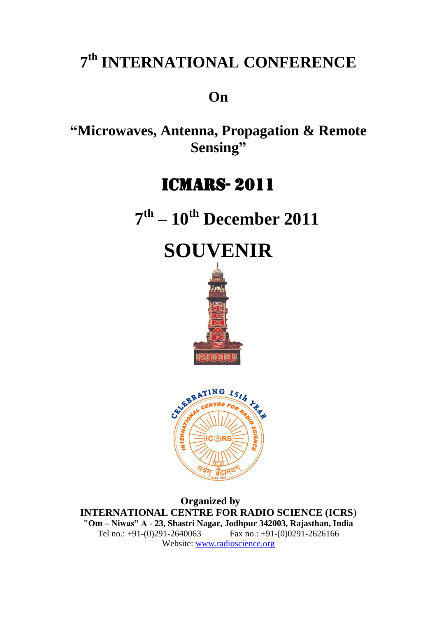# **7 th INTERNATIONAL CONFERENCE**

## **On**

**"Microwaves, Antenna, Propagation & Remote Sensing"**

# ICMARS- 2011

 **7 th – 10th December 2011**





 **Organized by INTERNATIONAL CENTRE FOR RADIO SCIENCE (ICRS**) **"Om – Niwas" A - 23, Shastri Nagar, Jodhpur 342003, Rajasthan, India** Tel no.: +91-(0)291-2640063 Fax no.: +91-(0)0291-2626166 Website: [www.radioscience.org](http://www.radioscience.org/)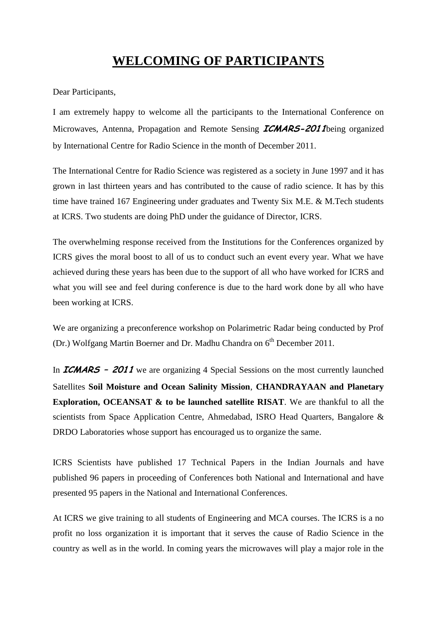## **WELCOMING OF PARTICIPANTS**

Dear Participants,

I am extremely happy to welcome all the participants to the International Conference on Microwaves, Antenna, Propagation and Remote Sensing **ICMARS-2011**being organized by International Centre for Radio Science in the month of December 2011.

The International Centre for Radio Science was registered as a society in June 1997 and it has grown in last thirteen years and has contributed to the cause of radio science. It has by this time have trained 167 Engineering under graduates and Twenty Six M.E. & M.Tech students at ICRS. Two students are doing PhD under the guidance of Director, ICRS.

The overwhelming response received from the Institutions for the Conferences organized by ICRS gives the moral boost to all of us to conduct such an event every year. What we have achieved during these years has been due to the support of all who have worked for ICRS and what you will see and feel during conference is due to the hard work done by all who have been working at ICRS.

We are organizing a preconference workshop on Polarimetric Radar being conducted by Prof (Dr.) Wolfgang Martin Boerner and Dr. Madhu Chandra on 6<sup>th</sup> December 2011.

In **ICMARS – 2011** we are organizing 4 Special Sessions on the most currently launched Satellites **Soil Moisture and Ocean Salinity Mission**, **CHANDRAYAAN and Planetary Exploration, OCEANSAT & to be launched satellite RISAT**. We are thankful to all the scientists from Space Application Centre, Ahmedabad, ISRO Head Quarters, Bangalore & DRDO Laboratories whose support has encouraged us to organize the same.

ICRS Scientists have published 17 Technical Papers in the Indian Journals and have published 96 papers in proceeding of Conferences both National and International and have presented 95 papers in the National and International Conferences.

At ICRS we give training to all students of Engineering and MCA courses. The ICRS is a no profit no loss organization it is important that it serves the cause of Radio Science in the country as well as in the world. In coming years the microwaves will play a major role in the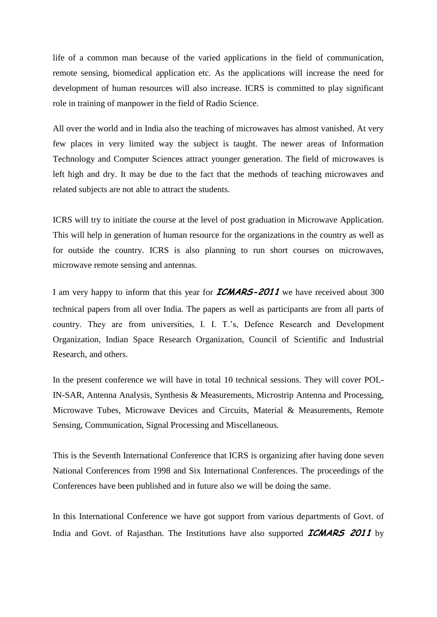life of a common man because of the varied applications in the field of communication, remote sensing, biomedical application etc. As the applications will increase the need for development of human resources will also increase. ICRS is committed to play significant role in training of manpower in the field of Radio Science.

All over the world and in India also the teaching of microwaves has almost vanished. At very few places in very limited way the subject is taught. The newer areas of Information Technology and Computer Sciences attract younger generation. The field of microwaves is left high and dry. It may be due to the fact that the methods of teaching microwaves and related subjects are not able to attract the students.

ICRS will try to initiate the course at the level of post graduation in Microwave Application. This will help in generation of human resource for the organizations in the country as well as for outside the country. ICRS is also planning to run short courses on microwaves, microwave remote sensing and antennas.

I am very happy to inform that this year for **ICMARS-2011** we have received about 300 technical papers from all over India. The papers as well as participants are from all parts of country. They are from universities, I. I. T.'s, Defence Research and Development Organization, Indian Space Research Organization, Council of Scientific and Industrial Research, and others.

In the present conference we will have in total 10 technical sessions. They will cover POL-IN-SAR, Antenna Analysis, Synthesis & Measurements, Microstrip Antenna and Processing, Microwave Tubes, Microwave Devices and Circuits, Material & Measurements, Remote Sensing, Communication, Signal Processing and Miscellaneous.

This is the Seventh International Conference that ICRS is organizing after having done seven National Conferences from 1998 and Six International Conferences. The proceedings of the Conferences have been published and in future also we will be doing the same.

In this International Conference we have got support from various departments of Govt. of India and Govt. of Rajasthan. The Institutions have also supported **ICMARS 2011** by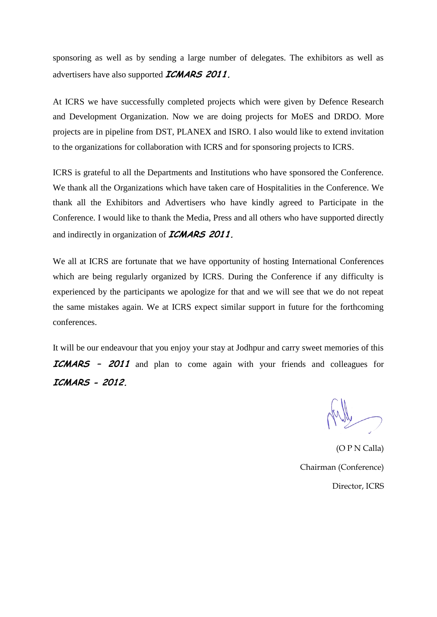sponsoring as well as by sending a large number of delegates. The exhibitors as well as advertisers have also supported **ICMARS 2011.**

At ICRS we have successfully completed projects which were given by Defence Research and Development Organization. Now we are doing projects for MoES and DRDO. More projects are in pipeline from DST, PLANEX and ISRO. I also would like to extend invitation to the organizations for collaboration with ICRS and for sponsoring projects to ICRS.

ICRS is grateful to all the Departments and Institutions who have sponsored the Conference. We thank all the Organizations which have taken care of Hospitalities in the Conference. We thank all the Exhibitors and Advertisers who have kindly agreed to Participate in the Conference. I would like to thank the Media, Press and all others who have supported directly and indirectly in organization of **ICMARS 2011.**

We all at ICRS are fortunate that we have opportunity of hosting International Conferences which are being regularly organized by ICRS. During the Conference if any difficulty is experienced by the participants we apologize for that and we will see that we do not repeat the same mistakes again. We at ICRS expect similar support in future for the forthcoming conferences.

It will be our endeavour that you enjoy your stay at Jodhpur and carry sweet memories of this **ICMARS – 2011** and plan to come again with your friends and colleagues for **ICMARS - 2012.**

(O P N Calla) Chairman (Conference) Director, ICRS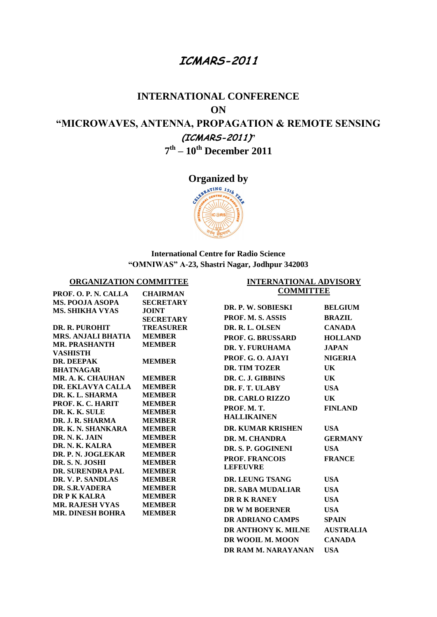#### **ICMARS-2011**

## **INTERNATIONAL CONFERENCE ON "MICROWAVES, ANTENNA, PROPAGATION & REMOTE SENSING (ICMARS-2011)" 7 th – 10th December 2011**

**Organized by** 



#### **International Centre for Radio Science "OMNIWAS" A-23, Shastri Nagar, Jodhpur 342003**

**INTERNATIONAL ADVISORY** 

#### **ORGANIZATION COMMITTEE**

| PROF. O. P. N. CALLA                                                                                                                                                                                                                                                                                                                                                                                                                                                                                | <b>CHAIRMAN</b>                                                                                                                                                                                                                                                                                                                                                      | <b>COMMITTEE</b>                                                                                                                                                                                                                               |                                                                                                                                                       |
|-----------------------------------------------------------------------------------------------------------------------------------------------------------------------------------------------------------------------------------------------------------------------------------------------------------------------------------------------------------------------------------------------------------------------------------------------------------------------------------------------------|----------------------------------------------------------------------------------------------------------------------------------------------------------------------------------------------------------------------------------------------------------------------------------------------------------------------------------------------------------------------|------------------------------------------------------------------------------------------------------------------------------------------------------------------------------------------------------------------------------------------------|-------------------------------------------------------------------------------------------------------------------------------------------------------|
| <b>MS. POOJA ASOPA</b><br><b>MS. SHIKHA VYAS</b>                                                                                                                                                                                                                                                                                                                                                                                                                                                    | <b>SECRETARY</b><br><b>JOINT</b><br><b>SECRETARY</b>                                                                                                                                                                                                                                                                                                                 | DR. P. W. SOBIESKI<br><b>PROF. M. S. ASSIS</b>                                                                                                                                                                                                 | <b>BELGIUM</b><br><b>BRAZIL</b>                                                                                                                       |
| DR. R. PUROHIT<br><b>MRS. ANJALI BHATIA</b><br><b>MR. PRASHANTH</b><br><b>VASHISTH</b><br><b>DR. DEEPAK</b><br><b>BHATNAGAR</b><br>MR. A. K. CHAUHAN<br>DR. EKLAVYA CALLA<br>DR. K. L. SHARMA<br>PROF. K. C. HARIT<br>DR. K. K. SULE<br>DR. J. R. SHARMA<br>DR. K. N. SHANKARA<br>DR. N. K. JAIN<br>DR. N. K. KALRA<br>DR. P. N. JOGLEKAR<br>DR. S. N. JOSHI<br><b>DR. SURENDRA PAL</b><br>DR. V. P. SANDLAS<br>DR. S.R.VADERA<br>DR P K KALRA<br><b>MR. RAJESH VYAS</b><br><b>MR. DINESH BOHRA</b> | <b>TREASURER</b><br><b>MEMBER</b><br><b>MEMBER</b><br><b>MEMBER</b><br><b>MEMBER</b><br><b>MEMBER</b><br><b>MEMBER</b><br><b>MEMBER</b><br><b>MEMBER</b><br><b>MEMBER</b><br><b>MEMBER</b><br><b>MEMBER</b><br><b>MEMBER</b><br><b>MEMBER</b><br><b>MEMBER</b><br><b>MEMBER</b><br><b>MEMBER</b><br><b>MEMBER</b><br><b>MEMBER</b><br><b>MEMBER</b><br><b>MEMBER</b> | DR. R. L. OLSEN<br><b>PROF. G. BRUSSARD</b><br>DR. Y. FURUHAMA<br>PROF. G. O. AJAYI<br>DR. TIM TOZER<br>DR. C. J. GIBBINS<br>DR. F. T. ULABY<br>DR. CARLO RIZZO                                                                                | <b>CANADA</b><br><b>HOLLAND</b><br><b>JAPAN</b><br><b>NIGERIA</b><br>UK<br>UK.<br><b>USA</b><br>UK.                                                   |
|                                                                                                                                                                                                                                                                                                                                                                                                                                                                                                     |                                                                                                                                                                                                                                                                                                                                                                      | PROF. M.T.<br><b>HALLIKAINEN</b><br><b>DR. KUMAR KRISHEN</b><br>DR. M. CHANDRA<br>DR. S. P. GOGINENI<br><b>PROF. FRANCOIS</b><br><b>LEFEUVRE</b><br>DR. LEUNG TSANG<br>DR. SABA MUDALIAR<br>DR R K RANEY<br>DR W M BOERNER<br>DR ADRIANO CAMPS | <b>FINLAND</b><br><b>USA</b><br><b>GERMANY</b><br><b>USA</b><br><b>FRANCE</b><br><b>USA</b><br><b>USA</b><br><b>USA</b><br><b>USA</b><br><b>SPAIN</b> |
|                                                                                                                                                                                                                                                                                                                                                                                                                                                                                                     |                                                                                                                                                                                                                                                                                                                                                                      | DR ANTHONY K. MILNE<br>DR WOOIL M. MOON<br>DR RAM M. NARAYANAN                                                                                                                                                                                 | <b>AUSTRALIA</b><br><b>CANADA</b><br><b>USA</b>                                                                                                       |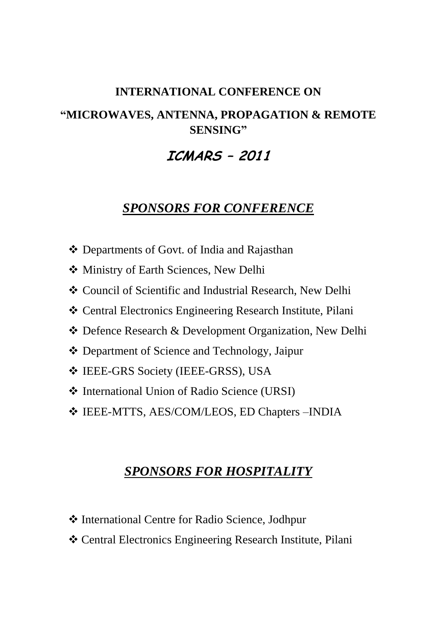#### **INTERNATIONAL CONFERENCE ON**

## **"MICROWAVES, ANTENNA, PROPAGATION & REMOTE SENSING"**

## **ICMARS – 2011**

## *SPONSORS FOR CONFERENCE*

- Departments of Govt. of India and Rajasthan
- Ministry of Earth Sciences, New Delhi
- Council of Scientific and Industrial Research, New Delhi
- Central Electronics Engineering Research Institute, Pilani
- Defence Research & Development Organization, New Delhi
- Department of Science and Technology, Jaipur
- IEEE-GRS Society (IEEE-GRSS), USA
- International Union of Radio Science (URSI)
- IEEE-MTTS, AES/COM/LEOS, ED Chapters –INDIA

### *SPONSORS FOR HOSPITALITY*

- International Centre for Radio Science, Jodhpur
- Central Electronics Engineering Research Institute, Pilani